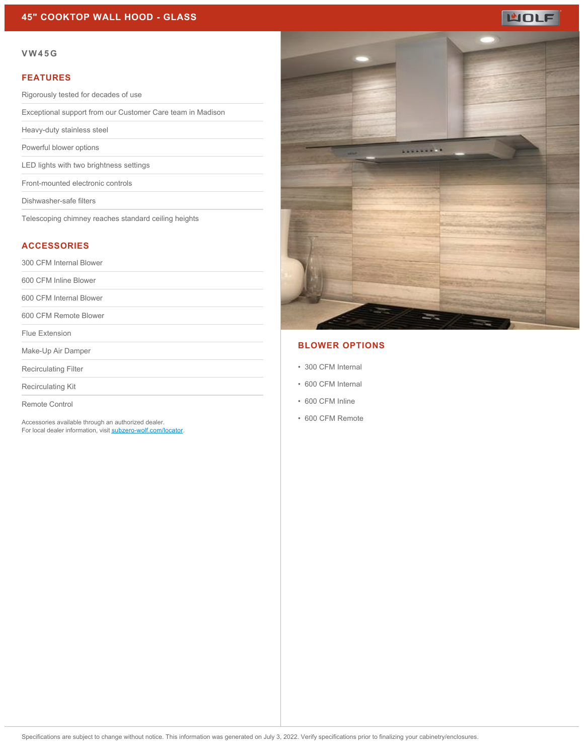## **45" COOKTOP WALL HOOD - GLASS**

# **WOLF**

#### **VW45G**

#### **FEATURES**

Rigorously tested for decades of use

Exceptional support from our Customer Care team in Madison

Heavy-duty stainless steel

Powerful blower options

LED lights with two brightness settings

Front-mounted electronic controls

Dishwasher-safe filters

Telescoping chimney reaches standard ceiling heights

#### **ACCESSORIES**

300 CFM Internal Blower

600 CFM Inline Blower

600 CFM Internal Blower

600 CFM Remote Blower

Flue Extension

Make-Up Air Damper

Recirculating Filter

Recirculating Kit

Remote Control

Accessories available through an authorized dealer. For local dealer information, visit [subzero-wolf.com/locator.](http://www.subzero-wolf.com/locator)



## **BLOWER OPTIONS**

- 300 CFM Internal
- 600 CFM Internal
- 600 CFM Inline
- 600 CFM Remote